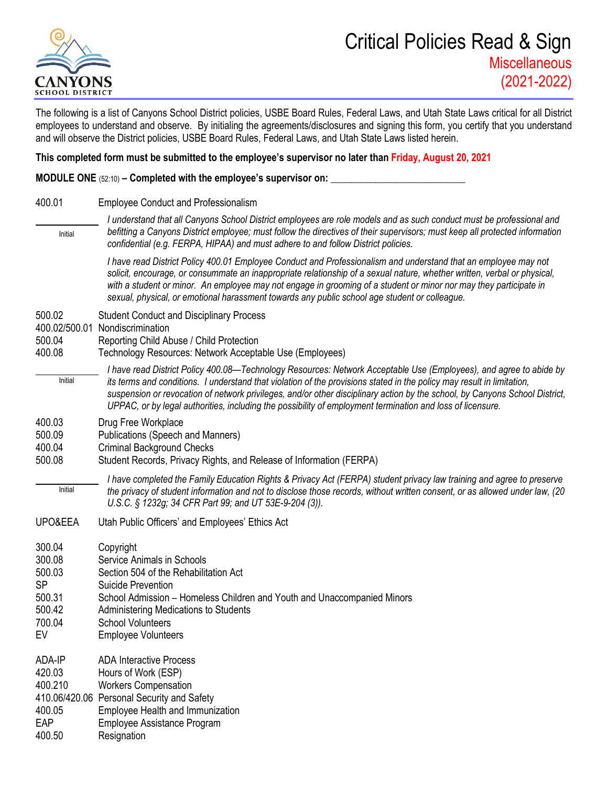

The following is a list of Canyons School District policies, USBE Board Rules, Federal Laws, and Utah State Laws critical for all District employees to understand and observe. By initialing the agreements/disclosures and signing this form, you certify that you understand and will observe the District policies, USBE Board Rules, Federal Laws, and Utah State Laws listed herein.

## **This completed form must be submitted to the employee's supervisor no later than Friday, August 20, 2021**

**MODULE ONE** (52:10) – **Completed with the employee's supervisor on:** 

400.01 Employee Conduct and Professionalism

*I understand that all Canyons School District employees are role models and as such conduct must be professional and befitting a Canyons District employee; must follow the directives of their supervisors; must keep all protected information confidential (e.g. FERPA, HIPAA) and must adhere to and follow District policies.*  Initial

*I have read District Policy 400.01 Employee Conduct and Professionalism and understand that an employee may not solicit, encourage, or consummate an inappropriate relationship of a sexual nature, whether written, verbal or physical, with a student or minor. An employee may not engage in grooming of a student or minor nor may they participate in sexual, physical, or emotional harassment towards any public school age student or colleague.*

- 500.02 Student Conduct and Disciplinary Process
- 400.02/500.01 Nondiscrimination
- 500.04 Reporting Child Abuse / Child Protection
- 400.08 Technology Resources: Network Acceptable Use (Employees)
	- *I have read District Policy 400.08—Technology Resources: Network Acceptable Use (Employees), and agree to abide by its terms and conditions. I understand that violation of the provisions stated in the policy may result in limitation, suspension or revocation of network privileges, and/or other disciplinary action by the school, by Canyons School District, UPPAC, or by legal authorities, including the possibility of employment termination and loss of licensure.* Initial
- 400.03 Drug Free Workplace
- 500.09 Publications (Speech and Manners)
- 400.04 Criminal Background Checks
- 500.08 Student Records, Privacy Rights, and Release of Information (FERPA)
	- *I have completed the Family Education Rights & Privacy Act (FERPA) student privacy law training and agree to preserve the privacy of student information and not to disclose those records, without written consent, or as allowed under law, (20 U.S.C. § 1232g; 34 CFR Part 99; and UT 53E-9-204 (3)).* Initial
- UPO&EEA Utah Public Officers' and Employees' Ethics Act

| 300.04  | Copyright                                                               |
|---------|-------------------------------------------------------------------------|
| 300.08  | Service Animals in Schools                                              |
| 500.03  | Section 504 of the Rehabilitation Act                                   |
| SP      | Suicide Prevention                                                      |
| 500.31  | School Admission – Homeless Children and Youth and Unaccompanied Minors |
| 500.42  | Administering Medications to Students                                   |
| 700.04  | <b>School Volunteers</b>                                                |
| EV      | <b>Employee Volunteers</b>                                              |
| ADA-IP  | <b>ADA Interactive Process</b>                                          |
| 420.03  | Hours of Work (ESP)                                                     |
| 400.210 | <b>Workers Compensation</b>                                             |
|         | 410.06/420.06 Personal Security and Safety                              |
| 400.05  | Employee Health and Immunization                                        |
|         |                                                                         |

- EAP Employee Assistance Program
- 400.50 Resignation